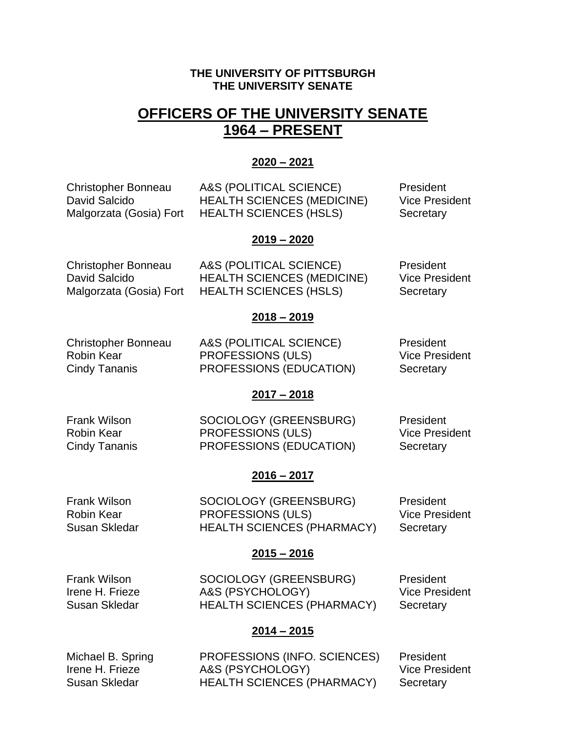## **THE UNIVERSITY OF PITTSBURGH THE UNIVERSITY SENATE**

# **OFFICERS OF THE UNIVERSITY SENATE 1964 – PRESENT**

## **2020 – 2021**

Christopher Bonneau A&S (POLITICAL SCIENCE) President David Salcido **HEALTH SCIENCES (MEDICINE)** Vice President Malgorzata (Gosia) Fort HEALTH SCIENCES (HSLS) Secretary

## **2019 – 2020**

Christopher Bonneau A&S (POLITICAL SCIENCE) President David Salcido **HEALTH SCIENCES (MEDICINE)** Vice President Malgorzata (Gosia) Fort HEALTH SCIENCES (HSLS) Secretary

Christopher Bonneau A&S (POLITICAL SCIENCE) President Robin Kear **PROFESSIONS** (ULS) Vice President Cindy Tananis PROFESSIONS (EDUCATION) Secretary

## **2017 – 2018**

**2018 – 2019**

| Frank Wilson  | SOCIOLOGY (GREENSBURG)   | President             |
|---------------|--------------------------|-----------------------|
| Robin Kear    | <b>PROFESSIONS (ULS)</b> | <b>Vice President</b> |
| Cindy Tananis | PROFESSIONS (EDUCATION)  | Secretary             |

## **2016 – 2017**

Frank Wilson SOCIOLOGY (GREENSBURG) President Robin Kear **PROFESSIONS** (ULS) Vice President Susan Skledar **HEALTH SCIENCES (PHARMACY)** Secretary

## **2015 – 2016**

Frank Wilson SOCIOLOGY (GREENSBURG) President Irene H. Frieze A&S (PSYCHOLOGY) Vice President Susan Skledar **HEALTH SCIENCES (PHARMACY)** Secretary

## **2014 – 2015**

Michael B. Spring **PROFESSIONS** (INFO. SCIENCES) President Irene H. Frieze A&S (PSYCHOLOGY) Vice President Susan Skledar **HEALTH SCIENCES (PHARMACY)** Secretary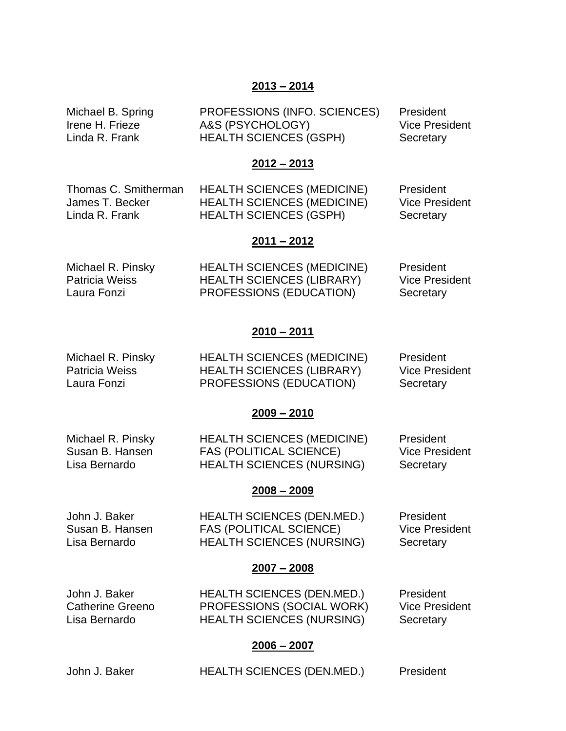## **2013 – 2014**

Michael B. Spring PROFESSIONS (INFO. SCIENCES) President Irene H. Frieze A&S (PSYCHOLOGY) Vice President Linda R. Frank **HEALTH SCIENCES (GSPH)** Secretary

## **2012 – 2013**

| Thomas C. Smitherman | <b>HEALTH SCIENCES (MEDICINE)</b> | President             |
|----------------------|-----------------------------------|-----------------------|
| James T. Becker      | <b>HEALTH SCIENCES (MEDICINE)</b> | <b>Vice President</b> |
| Linda R. Frank       | <b>HEALTH SCIENCES (GSPH)</b>     | Secretary             |

#### **2011 – 2012**

| Michael R. Pinsky | <b>HEALTH SCIENCES (MEDICINE)</b> | President             |
|-------------------|-----------------------------------|-----------------------|
| Patricia Weiss    | <b>HEALTH SCIENCES (LIBRARY)</b>  | <b>Vice President</b> |
| Laura Fonzi       | PROFESSIONS (EDUCATION)           | Secretary             |

## **2010 – 2011**

| Michael R. Pinsky | <b>HEALTH SCIENCES (MEDICINE)</b> | President             |
|-------------------|-----------------------------------|-----------------------|
| Patricia Weiss    | <b>HEALTH SCIENCES (LIBRARY)</b>  | <b>Vice President</b> |
| Laura Fonzi       | PROFESSIONS (EDUCATION)           | Secretary             |

#### **2009 – 2010**

| Michael R. Pinsky | <b>HEALTH SCIENCES (MEDICINE)</b> | President             |
|-------------------|-----------------------------------|-----------------------|
| Susan B. Hansen   | FAS (POLITICAL SCIENCE)           | <b>Vice President</b> |
| Lisa Bernardo     | <b>HEALTH SCIENCES (NURSING)</b>  | Secretary             |

#### **2008 – 2009**

John J. Baker **HEALTH SCIENCES (DEN.MED.)** President Susan B. Hansen FAS (POLITICAL SCIENCE) Vice President Lisa Bernardo HEALTH SCIENCES (NURSING) Secretary

## **2007 – 2008**

John J. Baker **HEALTH SCIENCES (DEN.MED.)** President Catherine Greeno PROFESSIONS (SOCIAL WORK) Vice Presi PROFESSIONS (SOCIAL WORK) Vice President Lisa Bernardo HEALTH SCIENCES (NURSING) Secretary

## **2006 – 2007**

| John J. Baker | <b>HEALTH SCIENCES (DEN.MED.)</b> | President |
|---------------|-----------------------------------|-----------|
|               |                                   |           |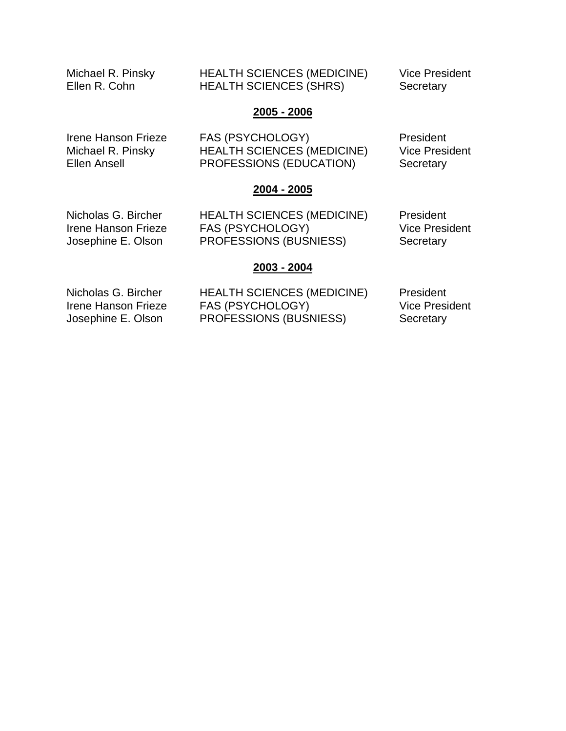Michael R. Pinsky HEALTH SCIENCES (MEDICINE) Vice President Ellen R. Cohn **HEALTH SCIENCES (SHRS)** Secretary

## **2005 - 2006**

| Irene Hanson Frieze | FAS (PSYCHOLOGY)                  | President             |
|---------------------|-----------------------------------|-----------------------|
| Michael R. Pinsky   | <b>HEALTH SCIENCES (MEDICINE)</b> | <b>Vice President</b> |
| Ellen Ansell        | PROFESSIONS (EDUCATION)           | Secretary             |

#### **2004 - 2005**

Nicholas G. Bircher HEALTH SCIENCES (MEDICINE) President Irene Hanson Frieze FAS (PSYCHOLOGY) Vice President<br>
Josephine E. Olson PROFESSIONS (BUSNIESS) Secretary PROFESSIONS (BUSNIESS) Secretary

## **2003 - 2004**

Nicholas G. Bircher HEALTH SCIENCES (MEDICINE) President Irene Hanson Frieze FAS (PSYCHOLOGY) Vice President Josephine E. Olson PROFESSIONS (BUSNIESS) Secretary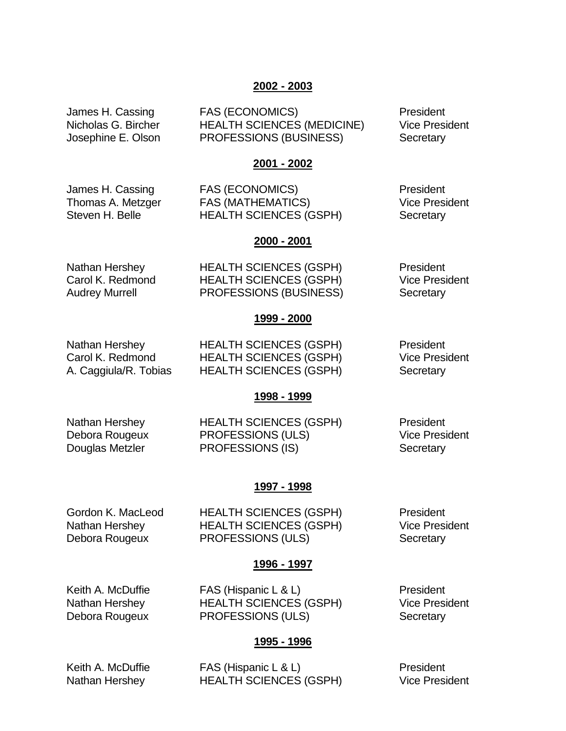## **2002 - 2003**

James H. Cassing FAS (ECONOMICS) President Nicholas G. Bircher HEALTH SCIENCES (MEDICINE) Vice President Josephine E. Olson PROFESSIONS (BUSINESS) Secretary

#### **2001 - 2002**

James H. Cassing FAS (ECONOMICS) President Thomas A. Metzger FAS (MATHEMATICS) Vice President Steven H. Belle **HEALTH SCIENCES (GSPH)** Secretary

#### **2000 - 2001**

| Nathan Hershey   | <b>HEALTH SCIENCES (GSPH)</b> | President             |
|------------------|-------------------------------|-----------------------|
| Carol K. Redmond | <b>HEALTH SCIENCES (GSPH)</b> | <b>Vice President</b> |
| Audrey Murrell   | PROFESSIONS (BUSINESS)        | Secretary             |

## **1999 - 2000**

Nathan Hershey **HEALTH SCIENCES (GSPH)** President Carol K. Redmond HEALTH SCIENCES (GSPH) Vice President A. Caggiula/R. Tobias HEALTH SCIENCES (GSPH) Secretary

## **1998 - 1999**

Nathan Hershey **HEALTH SCIENCES (GSPH)** President Debora Rougeux **PROFESSIONS (ULS)** Vice President Douglas Metzler **PROFESSIONS** (IS) Secretary

## **1997 - 1998**

Gordon K. MacLeod HEALTH SCIENCES (GSPH) President Nathan Hershey **HEALTH SCIENCES (GSPH)** Vice President Debora Rougeux **PROFESSIONS** (ULS) Secretary

## **1996 - 1997**

Keith A. McDuffie FAS (Hispanic L & L) President Nathan Hershey **HEALTH SCIENCES (GSPH)** Vice President Debora Rougeux **PROFESSIONS** (ULS) Secretary

# **1995 - 1996**

Keith A. McDuffie FAS (Hispanic L & L) President Nathan Hershey **HEALTH SCIENCES (GSPH)** Vice President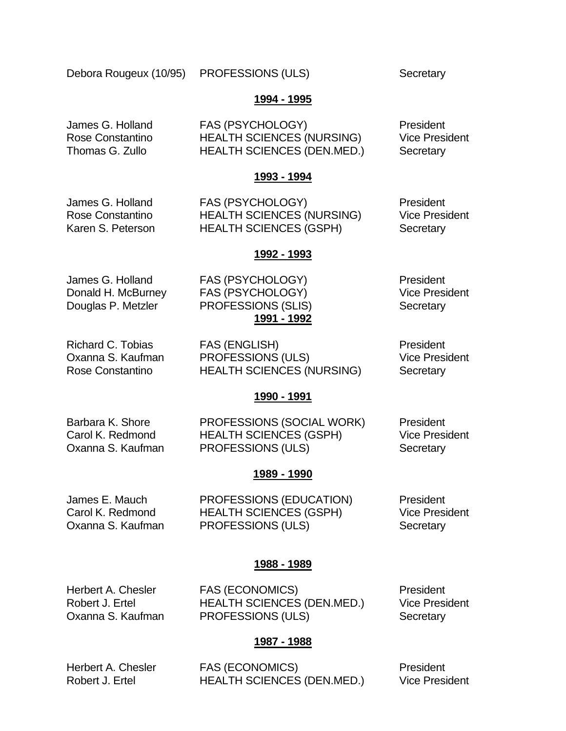Debora Rougeux (10/95) PROFESSIONS (ULS) Secretary

## **1994 - 1995**

James G. Holland FAS (PSYCHOLOGY) President Rose Constantino HEALTH SCIENCES (NURSING) Vice President Thomas G. Zullo HEALTH SCIENCES (DEN.MED.) Secretary

## **1993 - 1994**

James G. Holland FAS (PSYCHOLOGY) President Rose Constantino HEALTH SCIENCES (NURSING) Vice President Karen S. Peterson HEALTH SCIENCES (GSPH) Secretary

## **1992 - 1993**

James G. Holland FAS (PSYCHOLOGY) President

Donald H. McBurney FAS (PSYCHOLOGY) Vice President Douglas P. Metzler PROFESSIONS (SLIS) Secretary **1991 - 1992**

Richard C. Tobias FAS (ENGLISH) President Oxanna S. Kaufman PROFESSIONS (ULS) Vice President Rose Constantino **HEALTH SCIENCES (NURSING)** Secretary

## **1990 - 1991**

Barbara K. Shore **PROFESSIONS (SOCIAL WORK)** President Carol K. Redmond HEALTH SCIENCES (GSPH) Vice President Oxanna S. Kaufman PROFESSIONS (ULS) Secretary

## **1989 - 1990**

James E. Mauch PROFESSIONS (EDUCATION) President Carol K. Redmond HEALTH SCIENCES (GSPH) Vice President Oxanna S. Kaufman PROFESSIONS (ULS) Secretary

## **1988 - 1989**

Herbert A. Chesler FAS (ECONOMICS) President Robert J. Ertel HEALTH SCIENCES (DEN.MED.) Vice President Oxanna S. Kaufman PROFESSIONS (ULS) Secretary

## **1987 - 1988**

Herbert A. Chesler FAS (ECONOMICS) President Robert J. Ertel **HEALTH SCIENCES (DEN.MED.)** Vice President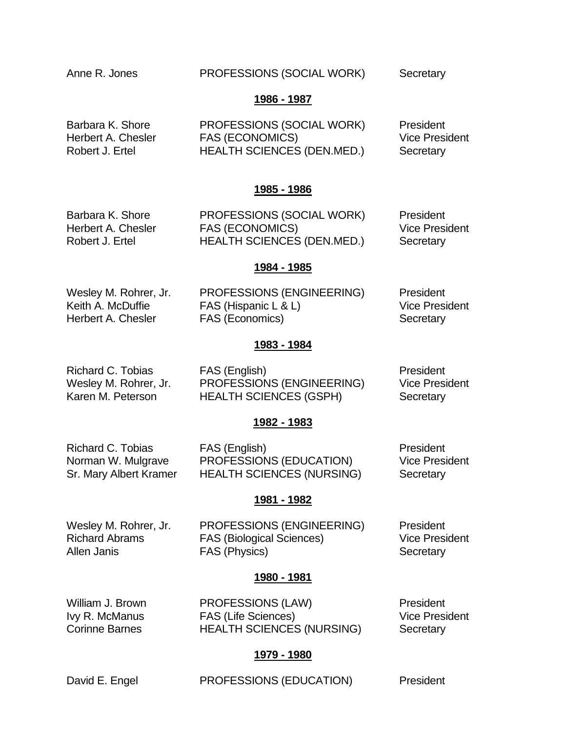## Anne R. Jones **PROFESSIONS (SOCIAL WORK)** Secretary

## **1986 - 1987**

Barbara K. Shore PROFESSIONS (SOCIAL WORK) President Herbert A. Chesler FAS (ECONOMICS) Wice President Robert J. Ertel **HEALTH SCIENCES (DEN.MED.)** Secretary

## **1985 - 1986**

Barbara K. Shore PROFESSIONS (SOCIAL WORK) President Herbert A. Chesler FAS (ECONOMICS) Vice President Robert J. Ertel **HEALTH SCIENCES (DEN.MED.)** Secretary

## **1984 - 1985**

Wesley M. Rohrer, Jr. PROFESSIONS (ENGINEERING) President Keith A. McDuffie FAS (Hispanic L & L) Vice President Herbert A. Chesler FAS (Economics) Secretary

## **1983 - 1984**

Richard C. Tobias FAS (English) President Wesley M. Rohrer, Jr. PROFESSIONS (ENGINEERING) Vice President Karen M. Peterson HEALTH SCIENCES (GSPH) Secretary

## **1982 - 1983**

Richard C. Tobias FAS (English) President Norman W. Mulgrave PROFESSIONS (EDUCATION) Vice President Sr. Mary Albert Kramer HEALTH SCIENCES (NURSING) Secretary

## **1981 - 1982**

| Wesley M. Rohrer, Jr. | PROFESSIONS (ENGINEERING)        | President             |
|-----------------------|----------------------------------|-----------------------|
| Richard Abrams        | <b>FAS (Biological Sciences)</b> | <b>Vice President</b> |
| Allen Janis           | FAS (Physics)                    | Secretary             |

## **1980 - 1981**

William J. Brown **PROFESSIONS (LAW)** President Ivy R. McManus FAS (Life Sciences) Vice President Corinne Barnes **HEALTH SCIENCES (NURSING)** Secretary

## **1979 - 1980**

David E. Engel PROFESSIONS (EDUCATION) President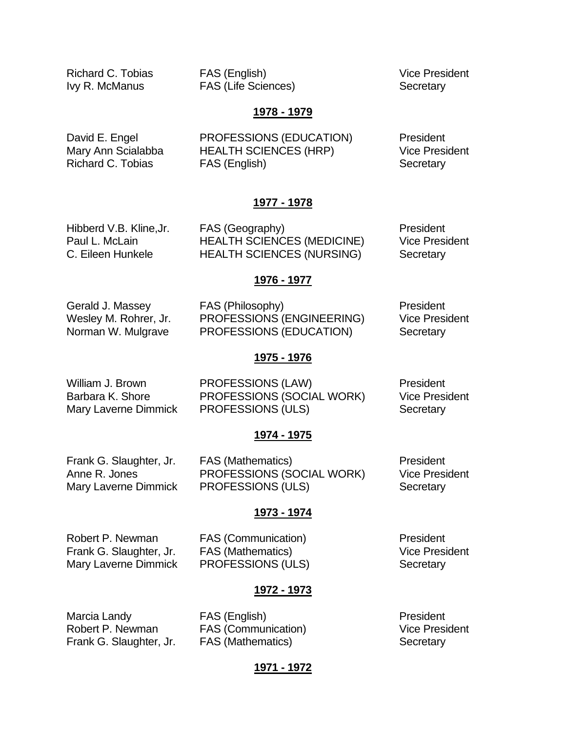Richard C. Tobias **FAS** (English) **FAS** (English)

Ivy R. McManus **FAS** (Life Sciences) Secretary

#### **1978 - 1979**

David E. Engel PROFESSIONS (EDUCATION) President Mary Ann Scialabba HEALTH SCIENCES (HRP) Vice President Richard C. Tobias FAS (English) Secretary

#### **1977 - 1978**

Hibberd V.B. Kline, Jr. FAS (Geography) President Paul L. McLain **HEALTH SCIENCES (MEDICINE)** Vice President C. Eileen Hunkele **HEALTH SCIENCES (NURSING)** Secretary

#### **1976 - 1977**

Gerald J. Massey **FAS** (Philosophy) **President** Wesley M. Rohrer, Jr. PROFESSIONS (ENGINEERING) Vice President Norman W. Mulgrave PROFESSIONS (EDUCATION) Secretary

#### **1975 - 1976**

William J. Brown **PROFESSIONS (LAW)** President Barbara K. Shore **PROFESSIONS (SOCIAL WORK)** Vice President Mary Laverne Dimmick PROFESSIONS (ULS) Secretary

## **1974 - 1975**

Frank G. Slaughter, Jr. FAS (Mathematics) Frank G. Slaughter, Jr. Anne R. Jones **PROFESSIONS (SOCIAL WORK)** Vice President Mary Laverne Dimmick PROFESSIONS (ULS) Secretary

#### **1973 - 1974**

Robert P. Newman FAS (Communication) President

Frank G. Slaughter, Jr. FAS (Mathematics) Vice President Mary Laverne Dimmick PROFESSIONS (ULS) Secretary

#### **1972 - 1973**

Marcia Landy **FAS** (English) **President** Robert P. Newman FAS (Communication) Vice President Frank G. Slaughter, Jr. FAS (Mathematics) Secretary

## **1971 - 1972**